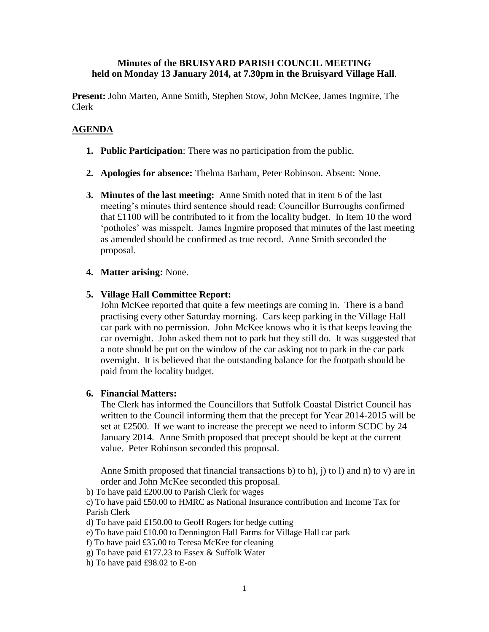### **Minutes of the BRUISYARD PARISH COUNCIL MEETING held on Monday 13 January 2014, at 7.30pm in the Bruisyard Village Hall**.

**Present:** John Marten, Anne Smith, Stephen Stow, John McKee, James Ingmire, The Clerk

## **AGENDA**

- **1. Public Participation**: There was no participation from the public.
- **2. Apologies for absence:** Thelma Barham, Peter Robinson. Absent: None.
- **3. Minutes of the last meeting:** Anne Smith noted that in item 6 of the last meeting's minutes third sentence should read: Councillor Burroughs confirmed that £1100 will be contributed to it from the locality budget. In Item 10 the word 'potholes' was misspelt. James Ingmire proposed that minutes of the last meeting as amended should be confirmed as true record. Anne Smith seconded the proposal.
- **4. Matter arising:** None.

### **5. Village Hall Committee Report:**

John McKee reported that quite a few meetings are coming in. There is a band practising every other Saturday morning. Cars keep parking in the Village Hall car park with no permission. John McKee knows who it is that keeps leaving the car overnight. John asked them not to park but they still do. It was suggested that a note should be put on the window of the car asking not to park in the car park overnight. It is believed that the outstanding balance for the footpath should be paid from the locality budget.

### **6. Financial Matters:**

The Clerk has informed the Councillors that Suffolk Coastal District Council has written to the Council informing them that the precept for Year 2014-2015 will be set at £2500. If we want to increase the precept we need to inform SCDC by 24 January 2014. Anne Smith proposed that precept should be kept at the current value. Peter Robinson seconded this proposal.

Anne Smith proposed that financial transactions b) to h),  $i$  to l) and n) to v) are in order and John McKee seconded this proposal.

b) To have paid £200.00 to Parish Clerk for wages

c) To have paid £50.00 to HMRC as National Insurance contribution and Income Tax for Parish Clerk

- d) To have paid £150.00 to Geoff Rogers for hedge cutting
- e) To have paid £10.00 to Dennington Hall Farms for Village Hall car park
- f) To have paid £35.00 to Teresa McKee for cleaning
- g) To have paid £177.23 to Essex & Suffolk Water
- h) To have paid £98.02 to E-on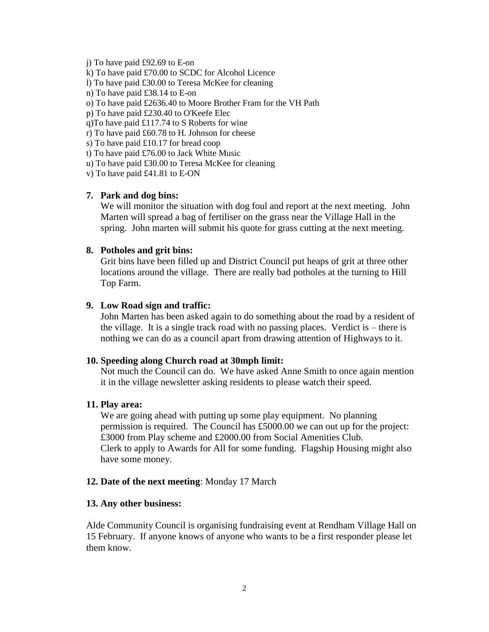j) To have paid £92.69 to E-on

k) To have paid £70.00 to SCDC for Alcohol Licence

l) To have paid £30.00 to Teresa McKee for cleaning

n) To have paid £38.14 to E-on

o) To have paid £2636.40 to Moore Brother Fram for the VH Path

p) To have paid £230.40 to O'Keefe Elec

q)To have paid £117.74 to S Roberts for wine

r) To have paid £60.78 to H. Johnson for cheese

s) To have paid £10.17 for bread coop

t) To have paid £76.00 to Jack White Music

u) To have paid £30.00 to Teresa McKee for cleaning

v) To have paid £41.81 to E-ON

# **7. Park and dog bins:**

We will monitor the situation with dog foul and report at the next meeting. John Marten will spread a bag of fertiliser on the grass near the Village Hall in the spring. John marten will submit his quote for grass cutting at the next meeting.

### **8. Potholes and grit bins:**

Grit bins have been filled up and District Council put heaps of grit at three other locations around the village. There are really bad potholes at the turning to Hill Top Farm.

### **9. Low Road sign and traffic:**

John Marten has been asked again to do something about the road by a resident of the village. It is a single track road with no passing places. Verdict is – there is nothing we can do as a council apart from drawing attention of Highways to it.

### **10. Speeding along Church road at 30mph limit:**

Not much the Council can do. We have asked Anne Smith to once again mention it in the village newsletter asking residents to please watch their speed.

### **11. Play area:**

We are going ahead with putting up some play equipment. No planning permission is required. The Council has £5000.00 we can out up for the project: £3000 from Play scheme and £2000.00 from Social Amenities Club. Clerk to apply to Awards for All for some funding. Flagship Housing might also have some money.

### **12. Date of the next meeting**: Monday 17 March

### **13. Any other business:**

Alde Community Council is organising fundraising event at Rendham Village Hall on 15 February. If anyone knows of anyone who wants to be a first responder please let them know.